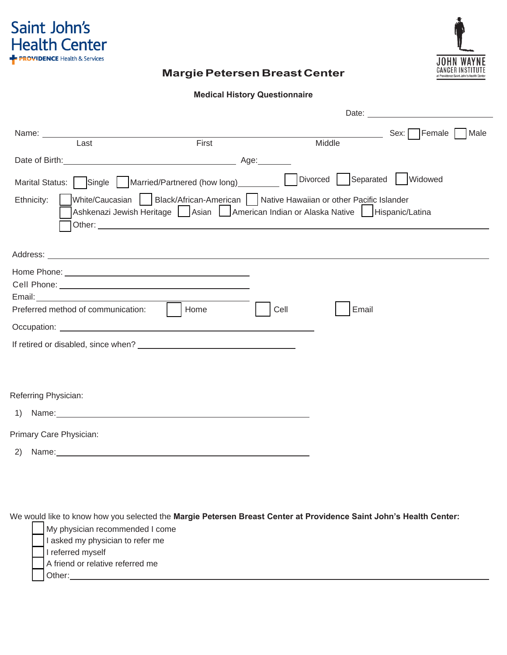

# **JOHN WAYNE**<br>CANCER INSTITUTE

# **Margie Petersen Breast Center**

#### **Medical History Questionnaire**

|                                                                                                                                                                                                                                      |                                                                                                                                                                                |        | Date:                |                  |
|--------------------------------------------------------------------------------------------------------------------------------------------------------------------------------------------------------------------------------------|--------------------------------------------------------------------------------------------------------------------------------------------------------------------------------|--------|----------------------|------------------|
| Name: Name:<br>Last                                                                                                                                                                                                                  | First                                                                                                                                                                          | Middle |                      | Sex: Female Male |
| Date of Birth:                                                                                                                                                                                                                       |                                                                                                                                                                                |        |                      |                  |
| Marital Status:   Single   Married/Partnered (how long)________                                                                                                                                                                      |                                                                                                                                                                                |        | Divorced   Separated | Widowed          |
| Ethnicity:                                                                                                                                                                                                                           | White/Caucasian   Black/African-American   Native Hawaiian or other Pacific Islander<br>Ashkenazi Jewish Heritage   Asian   American Indian or Alaska Native   Hispanic/Latina |        |                      |                  |
|                                                                                                                                                                                                                                      |                                                                                                                                                                                |        |                      |                  |
|                                                                                                                                                                                                                                      |                                                                                                                                                                                |        |                      |                  |
|                                                                                                                                                                                                                                      |                                                                                                                                                                                |        |                      |                  |
| Email: ____________________________                                                                                                                                                                                                  |                                                                                                                                                                                |        |                      |                  |
| Preferred method of communication:                                                                                                                                                                                                   | Home                                                                                                                                                                           | Cell   | Email                |                  |
| Occupation: <u>the contract of the contract of the contract of the contract of the contract of the contract of the contract of the contract of the contract of the contract of the contract of the contract of the contract of t</u> |                                                                                                                                                                                |        |                      |                  |
|                                                                                                                                                                                                                                      |                                                                                                                                                                                |        |                      |                  |
|                                                                                                                                                                                                                                      |                                                                                                                                                                                |        |                      |                  |
| Referring Physician:                                                                                                                                                                                                                 |                                                                                                                                                                                |        |                      |                  |
|                                                                                                                                                                                                                                      |                                                                                                                                                                                |        |                      |                  |
| Primary Care Physician:                                                                                                                                                                                                              |                                                                                                                                                                                |        |                      |                  |
|                                                                                                                                                                                                                                      |                                                                                                                                                                                |        |                      |                  |

We would like to know how you selected the **Margie Petersen Breast Center at Providence Saint John's Health Center:**

| My physician recommended I come  |
|----------------------------------|
| I asked my physician to refer me |
| I referred myself                |
| A friend or relative referred me |
| Other:                           |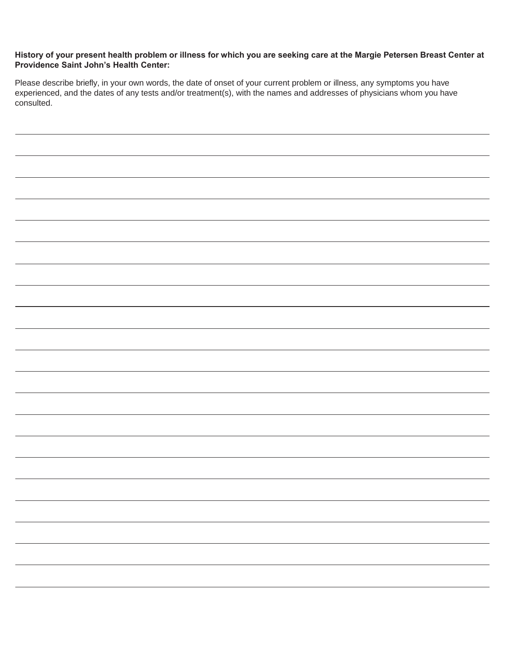#### **History of your present health problem or illness for which you are seeking care at the Margie Petersen Breast Center at Providence Saint John's Health Center:**

Please describe briefly, in your own words, the date of onset of your current problem or illness, any symptoms you have experienced, and the dates of any tests and/or treatment(s), with the names and addresses of physicians whom you have consulted.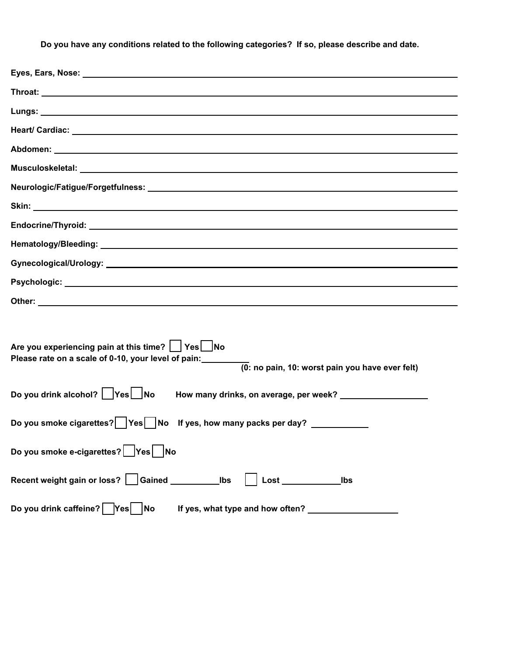**Do you have any conditions related to the following categories? If so, please describe and date.** 

| Eyes, Ears, Nose: 1998. 2008. 2009. 2010. 2010. 2010. 2012. 2013. 2014. 2015. 2016. 2017. 2018. 2019. 2019. 20                                             |
|------------------------------------------------------------------------------------------------------------------------------------------------------------|
|                                                                                                                                                            |
|                                                                                                                                                            |
|                                                                                                                                                            |
|                                                                                                                                                            |
|                                                                                                                                                            |
| Neurologic/Fatigue/Forgetfulness: intermal content of the content of the content of the content of the content                                             |
|                                                                                                                                                            |
|                                                                                                                                                            |
|                                                                                                                                                            |
|                                                                                                                                                            |
|                                                                                                                                                            |
|                                                                                                                                                            |
|                                                                                                                                                            |
| Are you experiencing pain at this time?   Yes No<br>Please rate on a scale of 0-10, your level of pain:<br>(0: no pain, 10: worst pain you have ever felt) |
| Do you drink alcohol?   Yes   No                                                                                                                           |
| Do you smoke cigarettes?   Yes   No If yes, how many packs per day? ___________                                                                            |
| Do you smoke e-cigarettes?   Yes   No                                                                                                                      |
| $\mathsf{Loss}$<br>Ibs                                                                                                                                     |
| Do you drink caffeine?   Yes   No<br>If yes, what type and how often? _                                                                                    |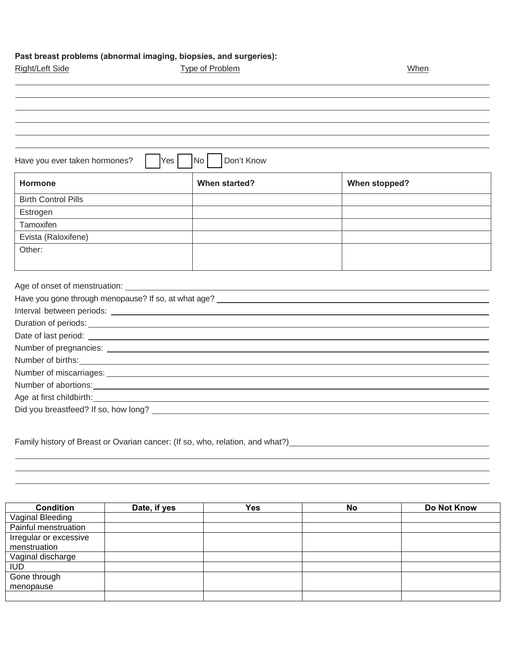### **Past breast problems (abnormal imaging, biopsies, and surgeries):**

| Right/Left Side               | Type of Problem                                                     | When                 |
|-------------------------------|---------------------------------------------------------------------|----------------------|
|                               |                                                                     |                      |
|                               |                                                                     |                      |
|                               |                                                                     |                      |
|                               |                                                                     |                      |
| Have you ever taken hormones? | Don't Know<br>No<br>Yes                                             |                      |
| Hormone                       | When started?                                                       | <b>When stopped?</b> |
| <b>Birth Control Pills</b>    |                                                                     |                      |
| Estrogen                      |                                                                     |                      |
| Tamoxifen                     |                                                                     |                      |
| Evista (Raloxifene)           |                                                                     |                      |
| Other:                        |                                                                     |                      |
|                               | <u> 1989 - Johann Stein, mars an deus Amerikaansk kommunister (</u> |                      |
|                               |                                                                     |                      |
|                               |                                                                     |                      |
|                               |                                                                     |                      |
|                               |                                                                     |                      |
|                               |                                                                     |                      |
|                               |                                                                     |                      |
|                               |                                                                     |                      |
|                               |                                                                     |                      |
|                               | Age at first childbirth: example at first childbirth:               |                      |
|                               | Did you breastfeed? If so, how long?                                |                      |

Family history of Breast or Ovarian cancer: (If so, who, relation, and what?)

| <b>Condition</b>       | Date, if yes | Yes | No | Do Not Know |
|------------------------|--------------|-----|----|-------------|
| Vaginal Bleeding       |              |     |    |             |
| Painful menstruation   |              |     |    |             |
| Irregular or excessive |              |     |    |             |
| menstruation           |              |     |    |             |
| Vaginal discharge      |              |     |    |             |
| <b>IUD</b>             |              |     |    |             |
| Gone through           |              |     |    |             |
| menopause              |              |     |    |             |
|                        |              |     |    |             |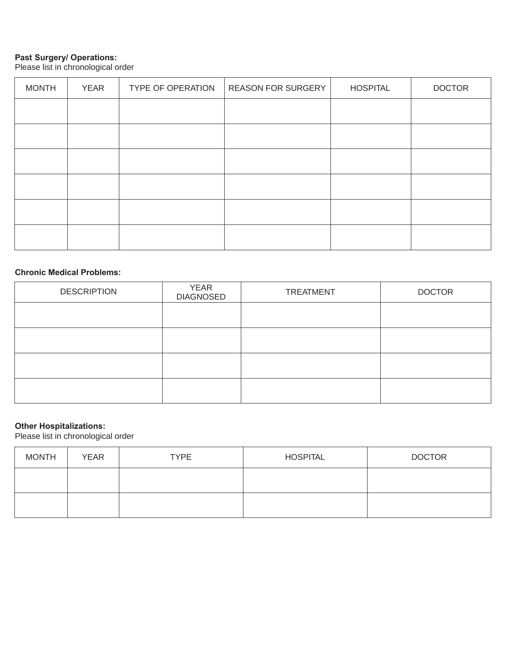#### **Past Surgery/ Operations:**

Please list in chronological order

| <b>MONTH</b> | <b>YEAR</b> | <b>TYPE OF OPERATION</b> | <b>REASON FOR SURGERY</b> | <b>HOSPITAL</b> | <b>DOCTOR</b> |
|--------------|-------------|--------------------------|---------------------------|-----------------|---------------|
|              |             |                          |                           |                 |               |
|              |             |                          |                           |                 |               |
|              |             |                          |                           |                 |               |
|              |             |                          |                           |                 |               |
|              |             |                          |                           |                 |               |
|              |             |                          |                           |                 |               |

#### **Chronic Medical Problems:**

| <b>DESCRIPTION</b> | <b>YEAR</b><br><b>DIAGNOSED</b> | <b>TREATMENT</b> | <b>DOCTOR</b> |
|--------------------|---------------------------------|------------------|---------------|
|                    |                                 |                  |               |
|                    |                                 |                  |               |
|                    |                                 |                  |               |
|                    |                                 |                  |               |

#### **Other Hospitalizations:**

Please list in chronological order

| <b>MONTH</b> | <b>YEAR</b> | <b>TYPE</b> | <b>HOSPITAL</b> | <b>DOCTOR</b> |
|--------------|-------------|-------------|-----------------|---------------|
|              |             |             |                 |               |
|              |             |             |                 |               |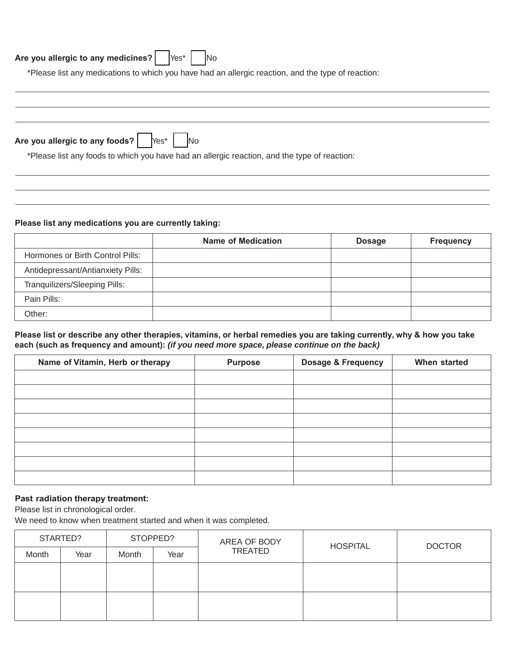## Are you allergic to any medicines? | Yes<sup>\*</sup> | No

\*Please list any medications to which you have had an allergic reaction, and the type of reaction:

| Are you allergic to any foods? $\left \right $ $\left \right $ $\left \right $ $\left \right $ $\left \right $ $\left \right $ $\left \right $ $\left \right $ $\left \right $ $\left \right $ $\left \right $ $\left \right $ $\left \right $ $\left \right $ $\left \right $ $\left \right $ $\left \right $ $\left \right $ $\left \right $ $\left \right $ $\left \right $ $\left \right $ $\left \right $ $\left \right $ |  |
|--------------------------------------------------------------------------------------------------------------------------------------------------------------------------------------------------------------------------------------------------------------------------------------------------------------------------------------------------------------------------------------------------------------------------------|--|
| *Please list any foods to which you have had an allergic reaction, and the type of reaction:                                                                                                                                                                                                                                                                                                                                   |  |

#### **Please list any medications you are currently taking:**

|                                   | Name of Medication | <b>Dosage</b> | <b>Frequency</b> |
|-----------------------------------|--------------------|---------------|------------------|
| Hormones or Birth Control Pills:  |                    |               |                  |
| Antidepressant/Antianxiety Pills: |                    |               |                  |
| Tranquilizers/Sleeping Pills:     |                    |               |                  |
| Pain Pills:                       |                    |               |                  |
| Other:                            |                    |               |                  |

**Please list or describe any other therapies, vitamins, or herbal remedies you are taking currently, why & how you take each (such as frequency and amount):** *(if you need more space, please continue on the back)*

| Name of Vitamin, Herb or therapy | <b>Purpose</b> | <b>Dosage &amp; Frequency</b> | When started |
|----------------------------------|----------------|-------------------------------|--------------|
|                                  |                |                               |              |
|                                  |                |                               |              |
|                                  |                |                               |              |
|                                  |                |                               |              |
|                                  |                |                               |              |
|                                  |                |                               |              |
|                                  |                |                               |              |
|                                  |                |                               |              |

#### **Past radiation therapy treatment:**

Please list in chronological order.

We need to know when treatment started and when it was completed.

| STARTED? |      | STOPPED? |      | AREA OF BODY | <b>HOSPITAL</b> | <b>DOCTOR</b> |
|----------|------|----------|------|--------------|-----------------|---------------|
| Month    | Year | Month    | Year | TREATED      |                 |               |
|          |      |          |      |              |                 |               |
|          |      |          |      |              |                 |               |
|          |      |          |      |              |                 |               |
|          |      |          |      |              |                 |               |